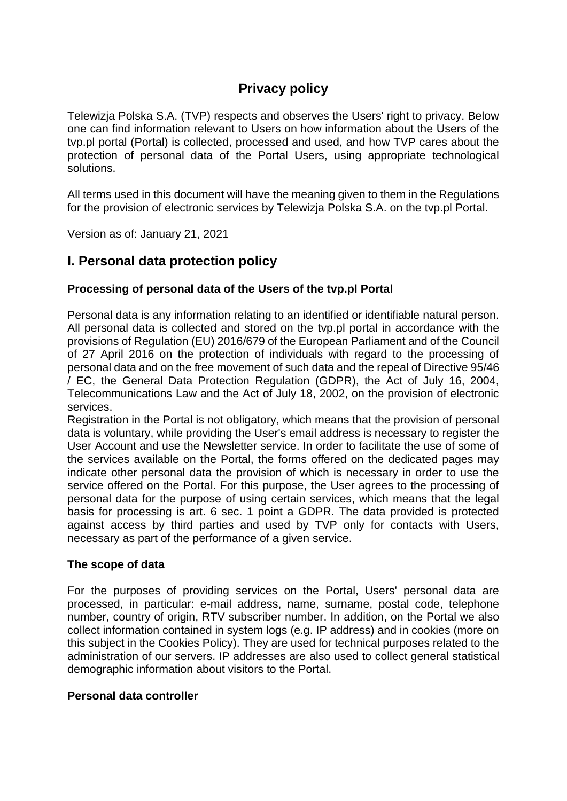# **Privacy policy**

Telewizja Polska S.A. (TVP) respects and observes the Users' right to privacy. Below one can find information relevant to Users on how information about the Users of the tvp.pl portal (Portal) is collected, processed and used, and how TVP cares about the protection of personal data of the Portal Users, using appropriate technological solutions.

All terms used in this document will have the meaning given to them in the Regulations for the provision of electronic services by Telewizja Polska S.A. on the tvp.pl Portal.

Version as of: January 21, 2021

# **I. Personal data protection policy**

## **Processing of personal data of the Users of the tvp.pl Portal**

Personal data is any information relating to an identified or identifiable natural person. All personal data is collected and stored on the tvp.pl portal in accordance with the provisions of Regulation (EU) 2016/679 of the European Parliament and of the Council of 27 April 2016 on the protection of individuals with regard to the processing of personal data and on the free movement of such data and the repeal of Directive 95/46 / EC, the General Data Protection Regulation (GDPR), the Act of July 16, 2004, Telecommunications Law and the Act of July 18, 2002, on the provision of electronic services.

Registration in the Portal is not obligatory, which means that the provision of personal data is voluntary, while providing the User's email address is necessary to register the User Account and use the Newsletter service. In order to facilitate the use of some of the services available on the Portal, the forms offered on the dedicated pages may indicate other personal data the provision of which is necessary in order to use the service offered on the Portal. For this purpose, the User agrees to the processing of personal data for the purpose of using certain services, which means that the legal basis for processing is art. 6 sec. 1 point a GDPR. The data provided is protected against access by third parties and used by TVP only for contacts with Users, necessary as part of the performance of a given service.

#### **The scope of data**

For the purposes of providing services on the Portal, Users' personal data are processed, in particular: e-mail address, name, surname, postal code, telephone number, country of origin, RTV subscriber number. In addition, on the Portal we also collect information contained in system logs (e.g. IP address) and in cookies (more on this subject in the Cookies Policy). They are used for technical purposes related to the administration of our servers. IP addresses are also used to collect general statistical demographic information about visitors to the Portal.

#### **Personal data controller**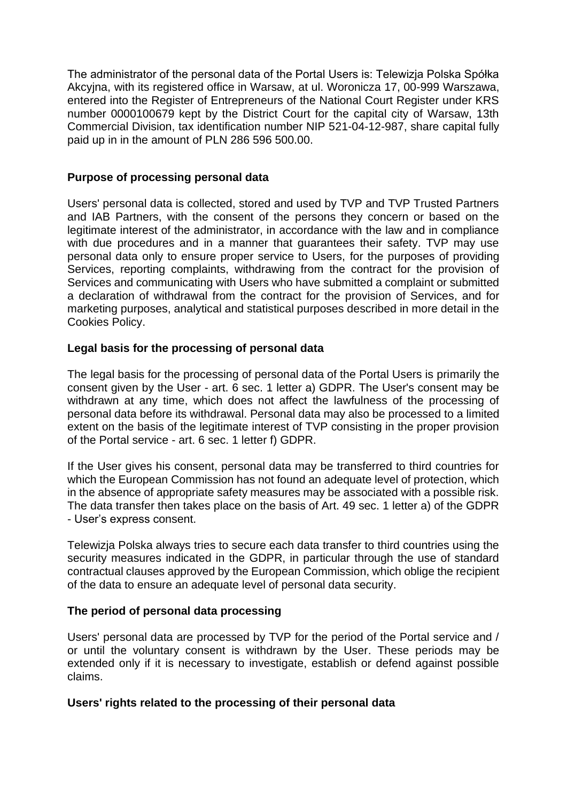The administrator of the personal data of the Portal Users is: Telewizja Polska Spółka Akcyjna, with its registered office in Warsaw, at ul. Woronicza 17, 00-999 Warszawa, entered into the Register of Entrepreneurs of the National Court Register under KRS number 0000100679 kept by the District Court for the capital city of Warsaw, 13th Commercial Division, tax identification number NIP 521-04-12-987, share capital fully paid up in in the amount of PLN 286 596 500.00.

## **Purpose of processing personal data**

Users' personal data is collected, stored and used by TVP and TVP Trusted Partners and IAB Partners, with the consent of the persons they concern or based on the legitimate interest of the administrator, in accordance with the law and in compliance with due procedures and in a manner that guarantees their safety. TVP may use personal data only to ensure proper service to Users, for the purposes of providing Services, reporting complaints, withdrawing from the contract for the provision of Services and communicating with Users who have submitted a complaint or submitted a declaration of withdrawal from the contract for the provision of Services, and for marketing purposes, analytical and statistical purposes described in more detail in the Cookies Policy.

## **Legal basis for the processing of personal data**

The legal basis for the processing of personal data of the Portal Users is primarily the consent given by the User - art. 6 sec. 1 letter a) GDPR. The User's consent may be withdrawn at any time, which does not affect the lawfulness of the processing of personal data before its withdrawal. Personal data may also be processed to a limited extent on the basis of the legitimate interest of TVP consisting in the proper provision of the Portal service - art. 6 sec. 1 letter f) GDPR.

If the User gives his consent, personal data may be transferred to third countries for which the European Commission has not found an adequate level of protection, which in the absence of appropriate safety measures may be associated with a possible risk. The data transfer then takes place on the basis of Art. 49 sec. 1 letter a) of the GDPR - User's express consent.

Telewizja Polska always tries to secure each data transfer to third countries using the security measures indicated in the GDPR, in particular through the use of standard contractual clauses approved by the European Commission, which oblige the recipient of the data to ensure an adequate level of personal data security.

# **The period of personal data processing**

Users' personal data are processed by TVP for the period of the Portal service and / or until the voluntary consent is withdrawn by the User. These periods may be extended only if it is necessary to investigate, establish or defend against possible claims.

#### **Users' rights related to the processing of their personal data**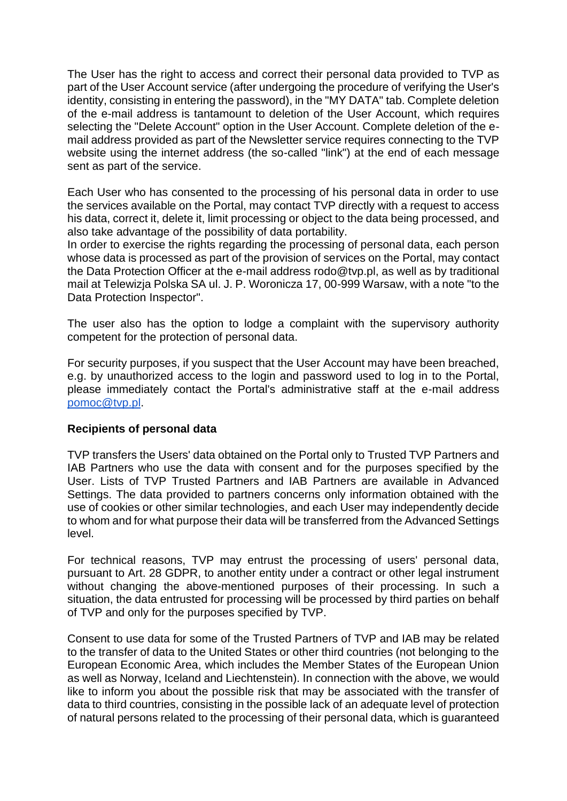The User has the right to access and correct their personal data provided to TVP as part of the User Account service (after undergoing the procedure of verifying the User's identity, consisting in entering the password), in the "MY DATA" tab. Complete deletion of the e-mail address is tantamount to deletion of the User Account, which requires selecting the "Delete Account" option in the User Account. Complete deletion of the email address provided as part of the Newsletter service requires connecting to the TVP website using the internet address (the so-called "link") at the end of each message sent as part of the service.

Each User who has consented to the processing of his personal data in order to use the services available on the Portal, may contact TVP directly with a request to access his data, correct it, delete it, limit processing or object to the data being processed, and also take advantage of the possibility of data portability.

In order to exercise the rights regarding the processing of personal data, each person whose data is processed as part of the provision of services on the Portal, may contact the Data Protection Officer at the e-mail address rodo@tvp.pl, as well as by traditional mail at Telewizja Polska SA ul. J. P. Woronicza 17, 00-999 Warsaw, with a note "to the Data Protection Inspector".

The user also has the option to lodge a complaint with the supervisory authority competent for the protection of personal data.

For security purposes, if you suspect that the User Account may have been breached, e.g. by unauthorized access to the login and password used to log in to the Portal, please immediately contact the Portal's administrative staff at the e-mail address [pomoc@tvp.pl.](mailto:pomoc@tvp.pl)

#### **Recipients of personal data**

TVP transfers the Users' data obtained on the Portal only to Trusted TVP Partners and IAB Partners who use the data with consent and for the purposes specified by the User. Lists of TVP Trusted Partners and IAB Partners are available in Advanced Settings. The data provided to partners concerns only information obtained with the use of cookies or other similar technologies, and each User may independently decide to whom and for what purpose their data will be transferred from the Advanced Settings level.

For technical reasons, TVP may entrust the processing of users' personal data, pursuant to Art. 28 GDPR, to another entity under a contract or other legal instrument without changing the above-mentioned purposes of their processing. In such a situation, the data entrusted for processing will be processed by third parties on behalf of TVP and only for the purposes specified by TVP.

Consent to use data for some of the Trusted Partners of TVP and IAB may be related to the transfer of data to the United States or other third countries (not belonging to the European Economic Area, which includes the Member States of the European Union as well as Norway, Iceland and Liechtenstein). In connection with the above, we would like to inform you about the possible risk that may be associated with the transfer of data to third countries, consisting in the possible lack of an adequate level of protection of natural persons related to the processing of their personal data, which is guaranteed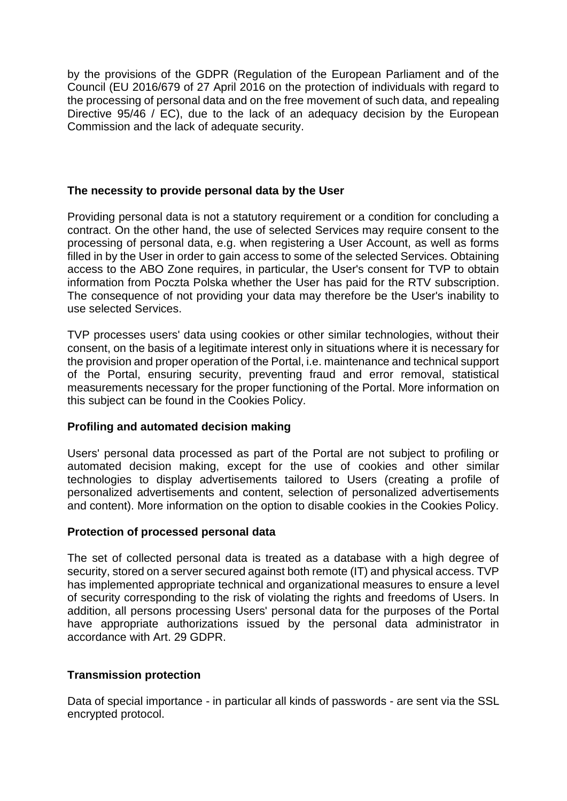by the provisions of the GDPR (Regulation of the European Parliament and of the Council (EU 2016/679 of 27 April 2016 on the protection of individuals with regard to the processing of personal data and on the free movement of such data, and repealing Directive 95/46 / EC), due to the lack of an adequacy decision by the European Commission and the lack of adequate security.

## **The necessity to provide personal data by the User**

Providing personal data is not a statutory requirement or a condition for concluding a contract. On the other hand, the use of selected Services may require consent to the processing of personal data, e.g. when registering a User Account, as well as forms filled in by the User in order to gain access to some of the selected Services. Obtaining access to the ABO Zone requires, in particular, the User's consent for TVP to obtain information from Poczta Polska whether the User has paid for the RTV subscription. The consequence of not providing your data may therefore be the User's inability to use selected Services.

TVP processes users' data using cookies or other similar technologies, without their consent, on the basis of a legitimate interest only in situations where it is necessary for the provision and proper operation of the Portal, i.e. maintenance and technical support of the Portal, ensuring security, preventing fraud and error removal, statistical measurements necessary for the proper functioning of the Portal. More information on this subject can be found in the Cookies Policy.

#### **Profiling and automated decision making**

Users' personal data processed as part of the Portal are not subject to profiling or automated decision making, except for the use of cookies and other similar technologies to display advertisements tailored to Users (creating a profile of personalized advertisements and content, selection of personalized advertisements and content). More information on the option to disable cookies in the Cookies Policy.

#### **Protection of processed personal data**

The set of collected personal data is treated as a database with a high degree of security, stored on a server secured against both remote (IT) and physical access. TVP has implemented appropriate technical and organizational measures to ensure a level of security corresponding to the risk of violating the rights and freedoms of Users. In addition, all persons processing Users' personal data for the purposes of the Portal have appropriate authorizations issued by the personal data administrator in accordance with Art. 29 GDPR.

# **Transmission protection**

Data of special importance - in particular all kinds of passwords - are sent via the SSL encrypted protocol.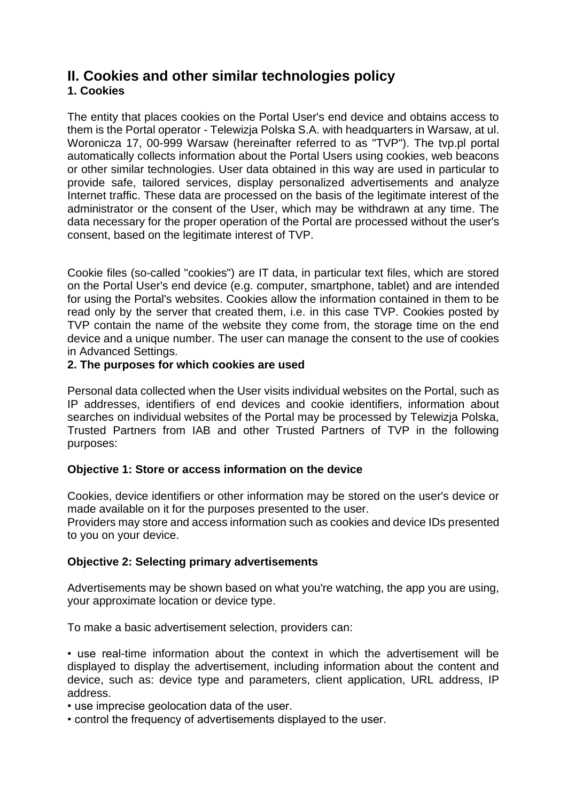# **II. Cookies and other similar technologies policy**

# **1. Cookies**

The entity that places cookies on the Portal User's end device and obtains access to them is the Portal operator - Telewizja Polska S.A. with headquarters in Warsaw, at ul. Woronicza 17, 00-999 Warsaw (hereinafter referred to as "TVP"). The tvp.pl portal automatically collects information about the Portal Users using cookies, web beacons or other similar technologies. User data obtained in this way are used in particular to provide safe, tailored services, display personalized advertisements and analyze Internet traffic. These data are processed on the basis of the legitimate interest of the administrator or the consent of the User, which may be withdrawn at any time. The data necessary for the proper operation of the Portal are processed without the user's consent, based on the legitimate interest of TVP.

Cookie files (so-called "cookies") are IT data, in particular text files, which are stored on the Portal User's end device (e.g. computer, smartphone, tablet) and are intended for using the Portal's websites. Cookies allow the information contained in them to be read only by the server that created them, i.e. in this case TVP. Cookies posted by TVP contain the name of the website they come from, the storage time on the end device and a unique number. The user can manage the consent to the use of cookies in Advanced Settings.

# **2. The purposes for which cookies are used**

Personal data collected when the User visits individual websites on the Portal, such as IP addresses, identifiers of end devices and cookie identifiers, information about searches on individual websites of the Portal may be processed by Telewizja Polska, Trusted Partners from IAB and other Trusted Partners of TVP in the following purposes:

# **Objective 1: Store or access information on the device**

Cookies, device identifiers or other information may be stored on the user's device or made available on it for the purposes presented to the user.

Providers may store and access information such as cookies and device IDs presented to you on your device.

# **Objective 2: Selecting primary advertisements**

Advertisements may be shown based on what you're watching, the app you are using, your approximate location or device type.

To make a basic advertisement selection, providers can:

• use real-time information about the context in which the advertisement will be displayed to display the advertisement, including information about the content and device, such as: device type and parameters, client application, URL address, IP address.

• use imprecise geolocation data of the user.

• control the frequency of advertisements displayed to the user.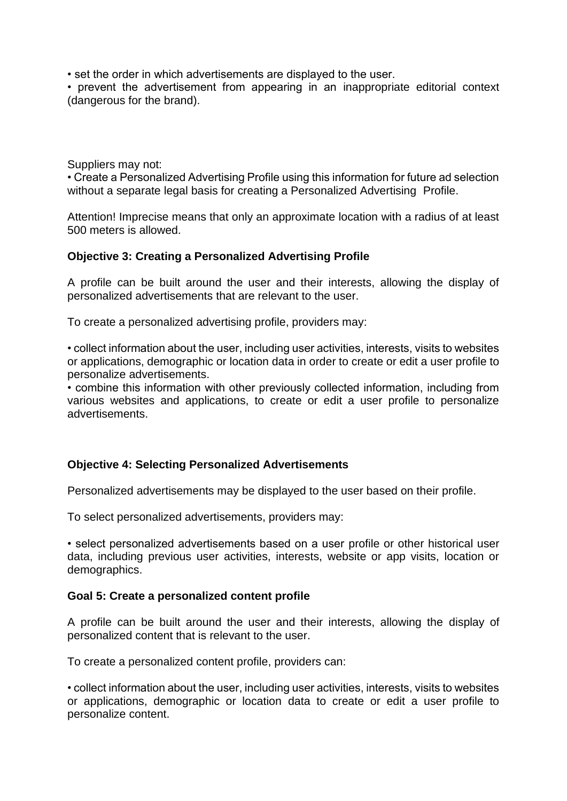• set the order in which advertisements are displayed to the user.

• prevent the advertisement from appearing in an inappropriate editorial context (dangerous for the brand).

Suppliers may not:

• Create a Personalized Advertising Profile using this information for future ad selection without a separate legal basis for creating a Personalized Advertising Profile.

Attention! Imprecise means that only an approximate location with a radius of at least 500 meters is allowed.

## **Objective 3: Creating a Personalized Advertising Profile**

A profile can be built around the user and their interests, allowing the display of personalized advertisements that are relevant to the user.

To create a personalized advertising profile, providers may:

• collect information about the user, including user activities, interests, visits to websites or applications, demographic or location data in order to create or edit a user profile to personalize advertisements.

• combine this information with other previously collected information, including from various websites and applications, to create or edit a user profile to personalize advertisements.

#### **Objective 4: Selecting Personalized Advertisements**

Personalized advertisements may be displayed to the user based on their profile.

To select personalized advertisements, providers may:

• select personalized advertisements based on a user profile or other historical user data, including previous user activities, interests, website or app visits, location or demographics.

#### **Goal 5: Create a personalized content profile**

A profile can be built around the user and their interests, allowing the display of personalized content that is relevant to the user.

To create a personalized content profile, providers can:

• collect information about the user, including user activities, interests, visits to websites or applications, demographic or location data to create or edit a user profile to personalize content.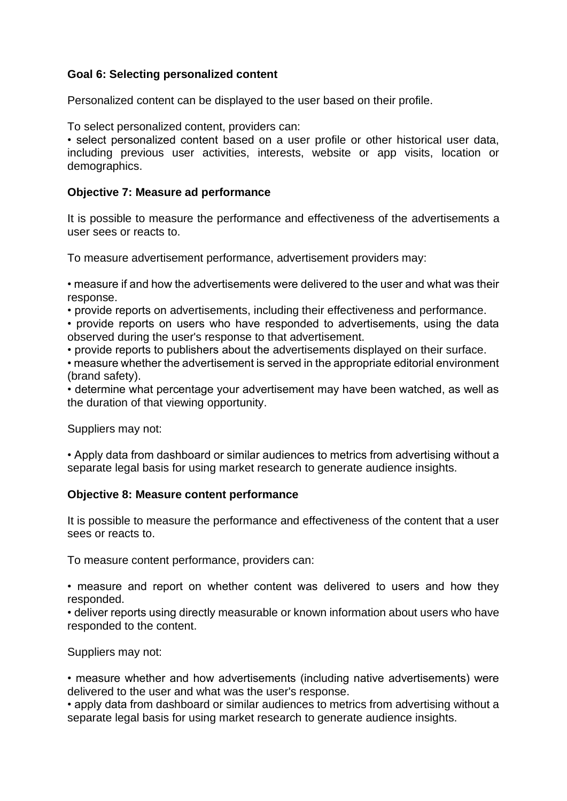## **Goal 6: Selecting personalized content**

Personalized content can be displayed to the user based on their profile.

To select personalized content, providers can:

• select personalized content based on a user profile or other historical user data, including previous user activities, interests, website or app visits, location or demographics.

#### **Objective 7: Measure ad performance**

It is possible to measure the performance and effectiveness of the advertisements a user sees or reacts to.

To measure advertisement performance, advertisement providers may:

• measure if and how the advertisements were delivered to the user and what was their response.

• provide reports on advertisements, including their effectiveness and performance.

• provide reports on users who have responded to advertisements, using the data observed during the user's response to that advertisement.

• provide reports to publishers about the advertisements displayed on their surface.

• measure whether the advertisement is served in the appropriate editorial environment (brand safety).

• determine what percentage your advertisement may have been watched, as well as the duration of that viewing opportunity.

Suppliers may not:

• Apply data from dashboard or similar audiences to metrics from advertising without a separate legal basis for using market research to generate audience insights.

#### **Objective 8: Measure content performance**

It is possible to measure the performance and effectiveness of the content that a user sees or reacts to.

To measure content performance, providers can:

• measure and report on whether content was delivered to users and how they responded.

• deliver reports using directly measurable or known information about users who have responded to the content.

Suppliers may not:

• measure whether and how advertisements (including native advertisements) were delivered to the user and what was the user's response.

• apply data from dashboard or similar audiences to metrics from advertising without a separate legal basis for using market research to generate audience insights.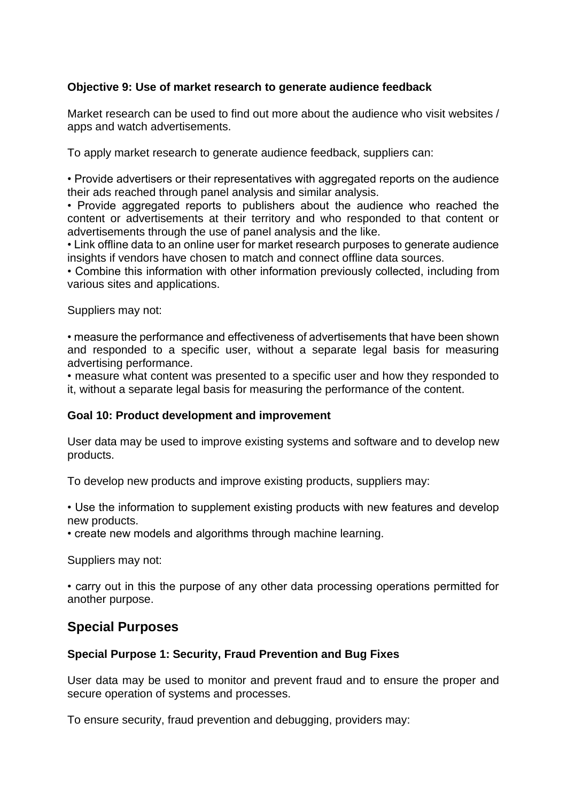## **Objective 9: Use of market research to generate audience feedback**

Market research can be used to find out more about the audience who visit websites / apps and watch advertisements.

To apply market research to generate audience feedback, suppliers can:

• Provide advertisers or their representatives with aggregated reports on the audience their ads reached through panel analysis and similar analysis.

• Provide aggregated reports to publishers about the audience who reached the content or advertisements at their territory and who responded to that content or advertisements through the use of panel analysis and the like.

• Link offline data to an online user for market research purposes to generate audience insights if vendors have chosen to match and connect offline data sources.

• Combine this information with other information previously collected, including from various sites and applications.

Suppliers may not:

• measure the performance and effectiveness of advertisements that have been shown and responded to a specific user, without a separate legal basis for measuring advertising performance.

• measure what content was presented to a specific user and how they responded to it, without a separate legal basis for measuring the performance of the content.

#### **Goal 10: Product development and improvement**

User data may be used to improve existing systems and software and to develop new products.

To develop new products and improve existing products, suppliers may:

• Use the information to supplement existing products with new features and develop new products.

• create new models and algorithms through machine learning.

Suppliers may not:

• carry out in this the purpose of any other data processing operations permitted for another purpose.

# **Special Purposes**

#### **Special Purpose 1: Security, Fraud Prevention and Bug Fixes**

User data may be used to monitor and prevent fraud and to ensure the proper and secure operation of systems and processes.

To ensure security, fraud prevention and debugging, providers may: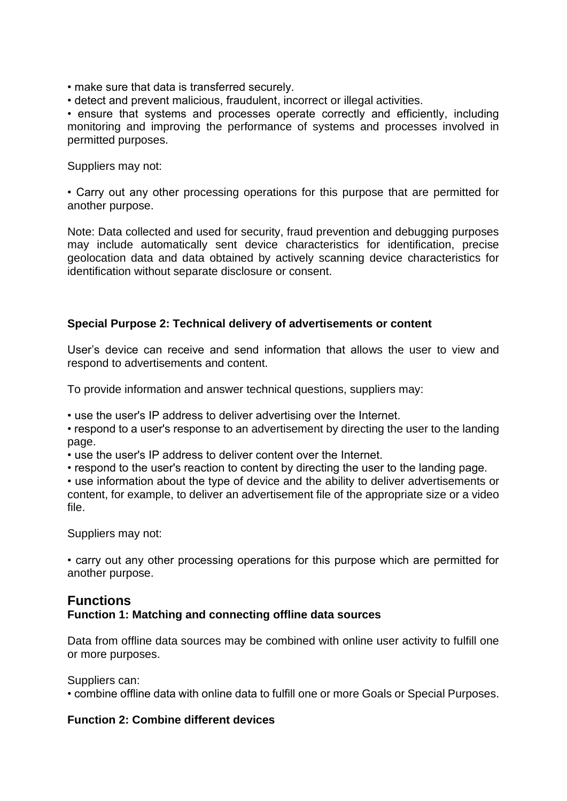• make sure that data is transferred securely.

• detect and prevent malicious, fraudulent, incorrect or illegal activities.

• ensure that systems and processes operate correctly and efficiently, including monitoring and improving the performance of systems and processes involved in permitted purposes.

Suppliers may not:

• Carry out any other processing operations for this purpose that are permitted for another purpose.

Note: Data collected and used for security, fraud prevention and debugging purposes may include automatically sent device characteristics for identification, precise geolocation data and data obtained by actively scanning device characteristics for identification without separate disclosure or consent.

#### **Special Purpose 2: Technical delivery of advertisements or content**

User's device can receive and send information that allows the user to view and respond to advertisements and content.

To provide information and answer technical questions, suppliers may:

• use the user's IP address to deliver advertising over the Internet.

• respond to a user's response to an advertisement by directing the user to the landing page.

• use the user's IP address to deliver content over the Internet.

• respond to the user's reaction to content by directing the user to the landing page.

• use information about the type of device and the ability to deliver advertisements or content, for example, to deliver an advertisement file of the appropriate size or a video file.

Suppliers may not:

• carry out any other processing operations for this purpose which are permitted for another purpose.

# **Functions**

#### **Function 1: Matching and connecting offline data sources**

Data from offline data sources may be combined with online user activity to fulfill one or more purposes.

Suppliers can:

• combine offline data with online data to fulfill one or more Goals or Special Purposes.

#### **Function 2: Combine different devices**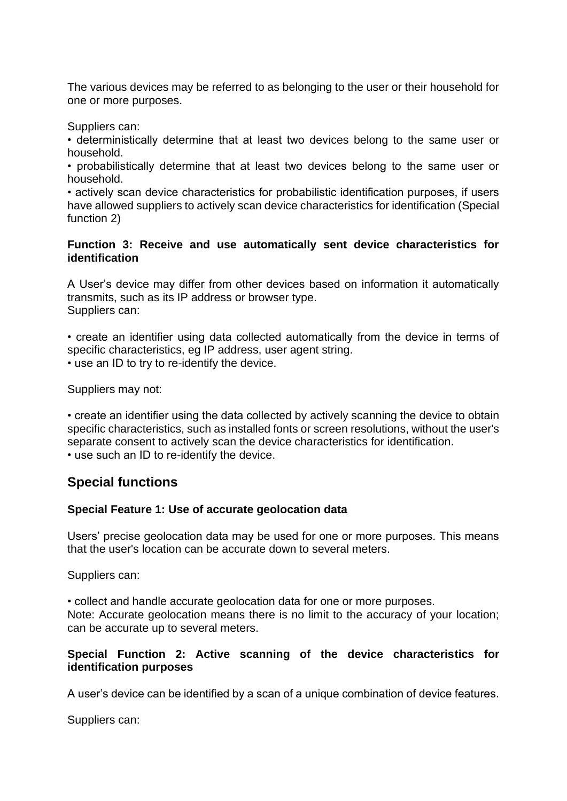The various devices may be referred to as belonging to the user or their household for one or more purposes.

Suppliers can:

• deterministically determine that at least two devices belong to the same user or household.

• probabilistically determine that at least two devices belong to the same user or household.

• actively scan device characteristics for probabilistic identification purposes, if users have allowed suppliers to actively scan device characteristics for identification (Special function 2)

#### **Function 3: Receive and use automatically sent device characteristics for identification**

A User's device may differ from other devices based on information it automatically transmits, such as its IP address or browser type. Suppliers can:

• create an identifier using data collected automatically from the device in terms of specific characteristics, eg IP address, user agent string. • use an ID to try to re-identify the device.

Suppliers may not:

• create an identifier using the data collected by actively scanning the device to obtain specific characteristics, such as installed fonts or screen resolutions, without the user's separate consent to actively scan the device characteristics for identification. • use such an ID to re-identify the device.

# **Special functions**

#### **Special Feature 1: Use of accurate geolocation data**

Users' precise geolocation data may be used for one or more purposes. This means that the user's location can be accurate down to several meters.

Suppliers can:

• collect and handle accurate geolocation data for one or more purposes. Note: Accurate geolocation means there is no limit to the accuracy of your location; can be accurate up to several meters.

#### **Special Function 2: Active scanning of the device characteristics for identification purposes**

A user's device can be identified by a scan of a unique combination of device features.

Suppliers can: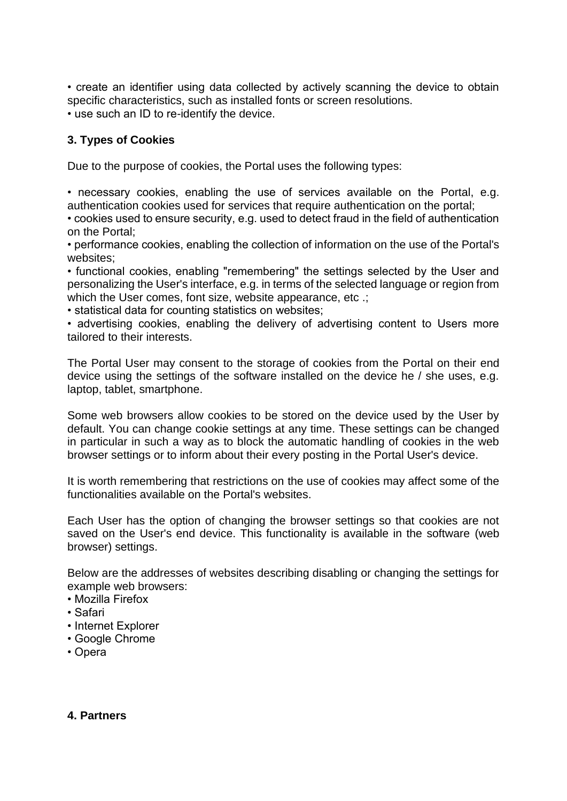• create an identifier using data collected by actively scanning the device to obtain specific characteristics, such as installed fonts or screen resolutions.

• use such an ID to re-identify the device.

# **3. Types of Cookies**

Due to the purpose of cookies, the Portal uses the following types:

• necessary cookies, enabling the use of services available on the Portal, e.g. authentication cookies used for services that require authentication on the portal;

• cookies used to ensure security, e.g. used to detect fraud in the field of authentication on the Portal;

• performance cookies, enabling the collection of information on the use of the Portal's websites;

• functional cookies, enabling "remembering" the settings selected by the User and personalizing the User's interface, e.g. in terms of the selected language or region from which the User comes, font size, website appearance, etc .:

• statistical data for counting statistics on websites;

• advertising cookies, enabling the delivery of advertising content to Users more tailored to their interests.

The Portal User may consent to the storage of cookies from the Portal on their end device using the settings of the software installed on the device he / she uses, e.g. laptop, tablet, smartphone.

Some web browsers allow cookies to be stored on the device used by the User by default. You can change cookie settings at any time. These settings can be changed in particular in such a way as to block the automatic handling of cookies in the web browser settings or to inform about their every posting in the Portal User's device.

It is worth remembering that restrictions on the use of cookies may affect some of the functionalities available on the Portal's websites.

Each User has the option of changing the browser settings so that cookies are not saved on the User's end device. This functionality is available in the software (web browser) settings.

Below are the addresses of websites describing disabling or changing the settings for example web browsers:

- Mozilla Firefox
- Safari
- Internet Explorer
- Google Chrome
- Opera

#### **4. Partners**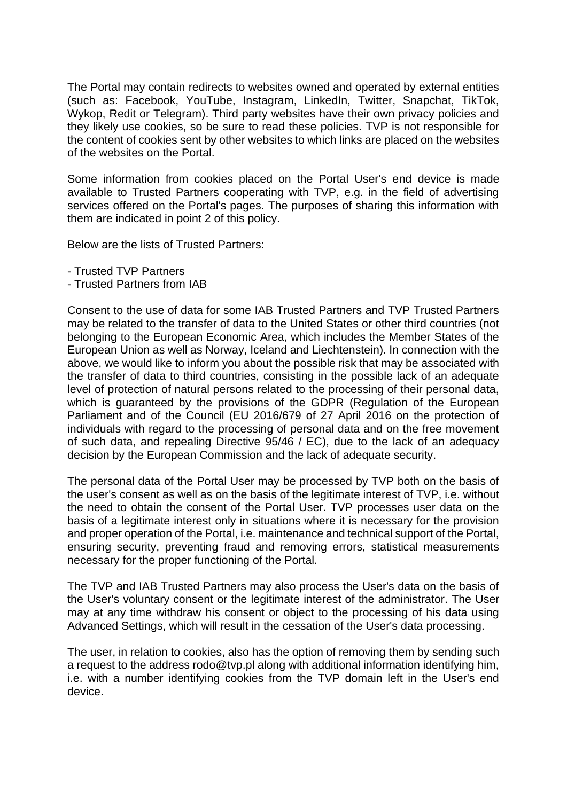The Portal may contain redirects to websites owned and operated by external entities (such as: Facebook, YouTube, Instagram, LinkedIn, Twitter, Snapchat, TikTok, Wykop, Redit or Telegram). Third party websites have their own privacy policies and they likely use cookies, so be sure to read these policies. TVP is not responsible for the content of cookies sent by other websites to which links are placed on the websites of the websites on the Portal.

Some information from cookies placed on the Portal User's end device is made available to Trusted Partners cooperating with TVP, e.g. in the field of advertising services offered on the Portal's pages. The purposes of sharing this information with them are indicated in point 2 of this policy.

Below are the lists of Trusted Partners:

- Trusted TVP Partners
- Trusted Partners from IAB

Consent to the use of data for some IAB Trusted Partners and TVP Trusted Partners may be related to the transfer of data to the United States or other third countries (not belonging to the European Economic Area, which includes the Member States of the European Union as well as Norway, Iceland and Liechtenstein). In connection with the above, we would like to inform you about the possible risk that may be associated with the transfer of data to third countries, consisting in the possible lack of an adequate level of protection of natural persons related to the processing of their personal data, which is guaranteed by the provisions of the GDPR (Regulation of the European Parliament and of the Council (EU 2016/679 of 27 April 2016 on the protection of individuals with regard to the processing of personal data and on the free movement of such data, and repealing Directive 95/46 / EC), due to the lack of an adequacy decision by the European Commission and the lack of adequate security.

The personal data of the Portal User may be processed by TVP both on the basis of the user's consent as well as on the basis of the legitimate interest of TVP, i.e. without the need to obtain the consent of the Portal User. TVP processes user data on the basis of a legitimate interest only in situations where it is necessary for the provision and proper operation of the Portal, i.e. maintenance and technical support of the Portal, ensuring security, preventing fraud and removing errors, statistical measurements necessary for the proper functioning of the Portal.

The TVP and IAB Trusted Partners may also process the User's data on the basis of the User's voluntary consent or the legitimate interest of the administrator. The User may at any time withdraw his consent or object to the processing of his data using Advanced Settings, which will result in the cessation of the User's data processing.

The user, in relation to cookies, also has the option of removing them by sending such a request to the address rodo@tvp.pl along with additional information identifying him, i.e. with a number identifying cookies from the TVP domain left in the User's end device.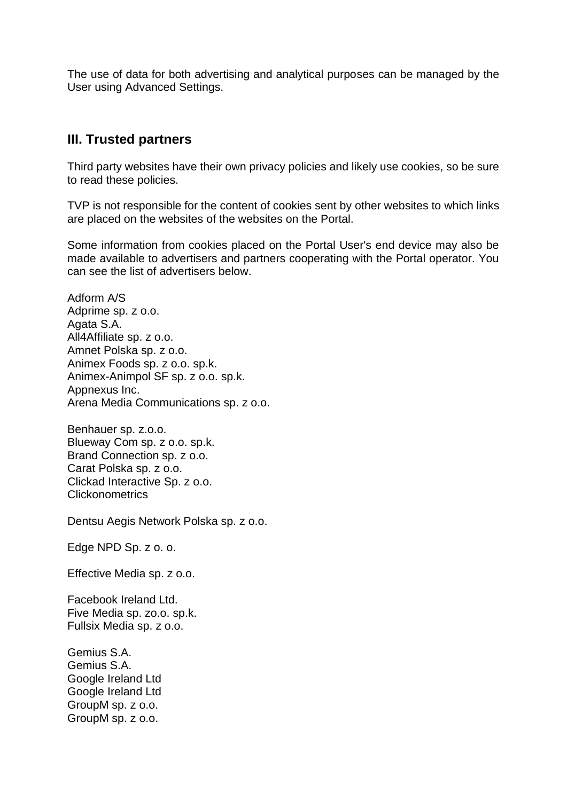The use of data for both advertising and analytical purposes can be managed by the User using Advanced Settings.

# **III. Trusted partners**

Third party websites have their own privacy policies and likely use cookies, so be sure to read these policies.

TVP is not responsible for the content of cookies sent by other websites to which links are placed on the websites of the websites on the Portal.

Some information from cookies placed on the Portal User's end device may also be made available to advertisers and partners cooperating with the Portal operator. You can see the list of advertisers below.

Adform A/S Adprime sp. z o.o. Agata S.A. All4Affiliate sp. z o.o. Amnet Polska sp. z o.o. Animex Foods sp. z o.o. sp.k. Animex-Animpol SF sp. z o.o. sp.k. Appnexus Inc. Arena Media Communications sp. z o.o.

Benhauer sp. z.o.o. Blueway Com sp. z o.o. sp.k. Brand Connection sp. z o.o. Carat Polska sp. z o.o. Clickad Interactive Sp. z o.o. Clickonometrics

Dentsu Aegis Network Polska sp. z o.o.

Edge NPD Sp. z o. o.

Effective Media sp. z o.o.

Facebook Ireland Ltd. Five Media sp. zo.o. sp.k. Fullsix Media sp. z o.o.

Gemius S.A. Gemius S.A. Google Ireland Ltd Google Ireland Ltd GroupM sp. z o.o. GroupM sp. z o.o.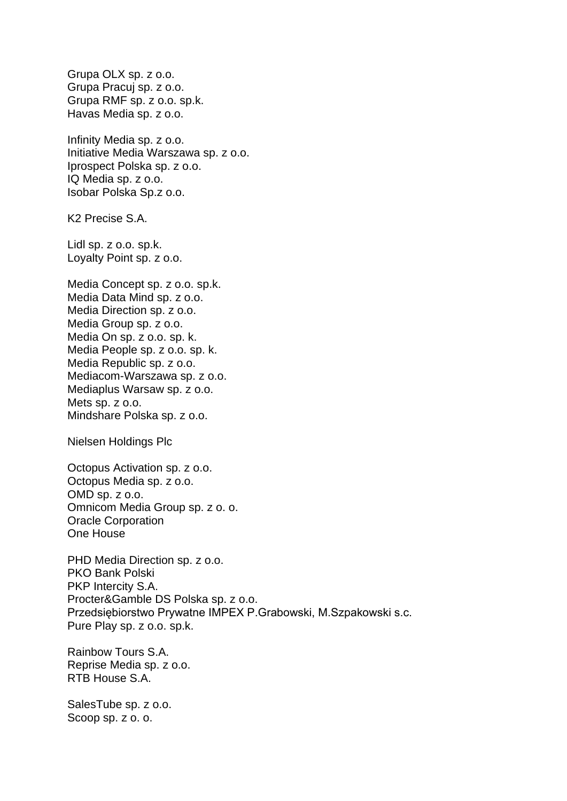Grupa OLX sp. z o.o. Grupa Pracuj sp. z o.o. Grupa RMF sp. z o.o. sp.k. Havas Media sp. z o.o. Infinity Media sp. z o.o. Initiative Media Warszawa sp. z o.o. Iprospect Polska sp. z o.o. IQ Media sp. z o.o. Isobar Polska Sp.z o.o. K2 Precise S.A. Lidl sp. z o.o. sp.k. Loyalty Point sp. z o.o. Media Concept sp. z o.o. sp.k. Media Data Mind sp. z o.o. Media Direction sp. z o.o. Media Group sp. z o.o. Media On sp. z o.o. sp. k. Media People sp. z o.o. sp. k. Media Republic sp. z o.o. Mediacom-Warszawa sp. z o.o. Mediaplus Warsaw sp. z o.o. Mets sp. z o.o. Mindshare Polska sp. z o.o. Nielsen Holdings Plc Octopus Activation sp. z o.o. Octopus Media sp. z o.o. OMD sp. z o.o. Omnicom Media Group sp. z o. o. Oracle Corporation One House PHD Media Direction sp. z o.o. PKO Bank Polski PKP Intercity S.A. Procter&Gamble DS Polska sp. z o.o. Przedsiębiorstwo Prywatne IMPEX P.Grabowski, M.Szpakowski s.c. Pure Play sp. z o.o. sp.k. Rainbow Tours S.A. Reprise Media sp. z o.o. RTB House S.A.

SalesTube sp. z o.o. Scoop sp. z o. o.